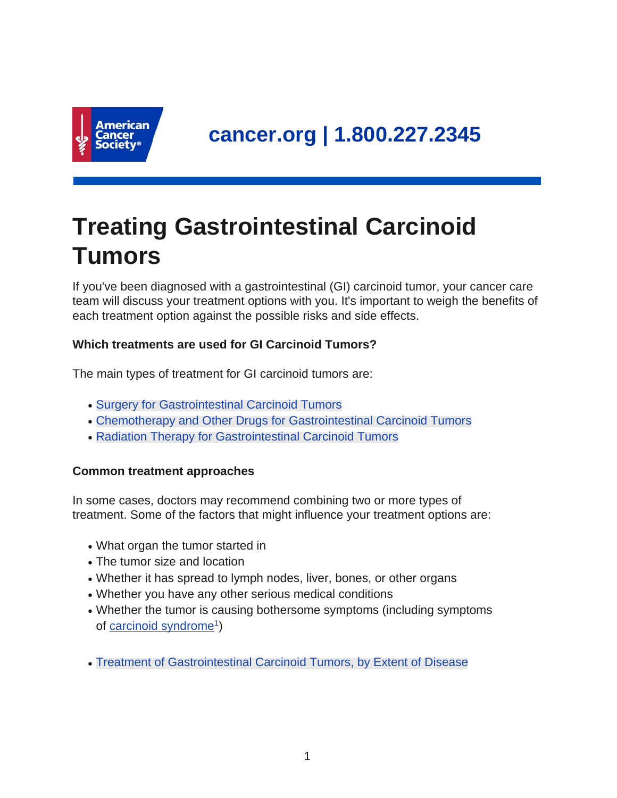

# **Treating Gastrointestinal Carcinoid Tumors**

If you've been diagnosed with a gastrointestinal (GI) carcinoid tumor, your cancer care team will discuss your treatment options with you. It's important to weigh the benefits of each treatment option against the possible risks and side effects.

## **Which treatments are used for GI Carcinoid Tumors?**

The main types of treatment for GI carcinoid tumors are:

- [Surgery for Gastrointestinal Carcinoid Tumors](#page-4-0)
- [Chemotherapy and Other Drugs for Gastrointestinal Carcinoid Tumors](#page-9-0)
- [Radiation Therapy for Gastrointestinal Carcinoid Tumors](#page-13-0)

## **Common treatment approaches**

In some cases, doctors may recommend combining two or more types of treatment. Some of the factors that might influence your treatment options are:

- What organ the tumor started in
- The tumor size and location
- Whether it has spread to lymph nodes, liver, bones, or other organs
- Whether you have any other serious medical conditions
- Whether the tumor is causing bothersome symptoms (including symptoms of [carcinoid syndrome](https://www.cancer.org/content/cancer/en/cancer/gastrointestinal-carcinoid-tumor/detection-diagnosis-staging/signs-symptoms.html)<sup>1</sup>)
- [Treatment of Gastrointestinal Carcinoid Tumors, by Extent of Disease](#page-17-0)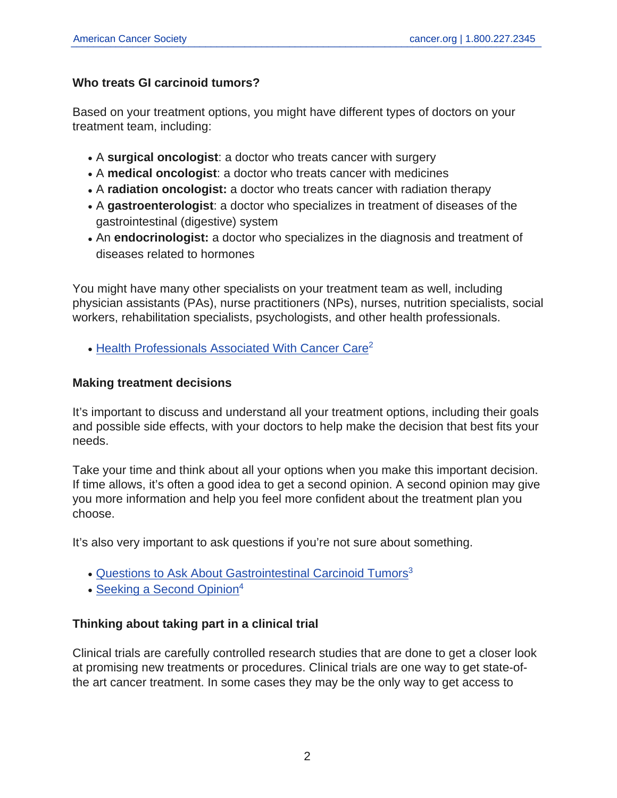#### **Who treats GI carcinoid tumors?**

Based on your treatment options, you might have different types of doctors on your treatment team, including:

- A **surgical oncologist**: a doctor who treats cancer with surgery
- A **medical oncologist**: a doctor who treats cancer with medicines
- A **radiation oncologist:** a doctor who treats cancer with radiation therapy
- A gastroenterologist: a doctor who specializes in treatment of diseases of the gastrointestinal (digestive) system
- An endocrinologist: a doctor who specializes in the diagnosis and treatment of diseases related to hormones

You might have many other specialists on your treatment team as well, including physician assistants (PAs), nurse practitioners (NPs), nurses, nutrition specialists, social workers, rehabilitation specialists, psychologists, and other health professionals.

• [Health Professionals Associated With Cancer Care](https://www.cancer.org/content/cancer/en/treatment/finding-and-paying-for-treatment/choosing-your-treatment-team/health-professionals-associated-with-cancer-care.html)<sup>2</sup>

#### **Making treatment decisions**

It's important to discuss and understand all your treatment options, including their goals and possible side effects, with your doctors to help make the decision that best fits your needs.

Take your time and think about all your options when you make this important decision. If time allows, it's often a good idea to get a second opinion. A second opinion may give you more information and help you feel more confident about the treatment plan you choose.

It's also very important to ask questions if you're not sure about something.

- [Questions to Ask About Gastrointestinal Carcinoid Tumors](https://www.cancer.org/content/cancer/en/cancer/gastrointestinal-carcinoid-tumor/detection-diagnosis-staging/talking-with-doctor.html)<sup>3</sup>
- $\bullet$  [Seeking a Second Opinion](https://www.cancer.org/content/cancer/en/treatment/finding-and-paying-for-treatment/choosing-your-treatment-team/seeking-a-second-opinion.html)<sup>4</sup>

## **Thinking about taking part in a clinical trial**

Clinical trials are carefully controlled research studies that are done to get a closer look at promising new treatments or procedures. Clinical trials are one way to get state-ofthe art cancer treatment. In some cases they may be the only way to get access to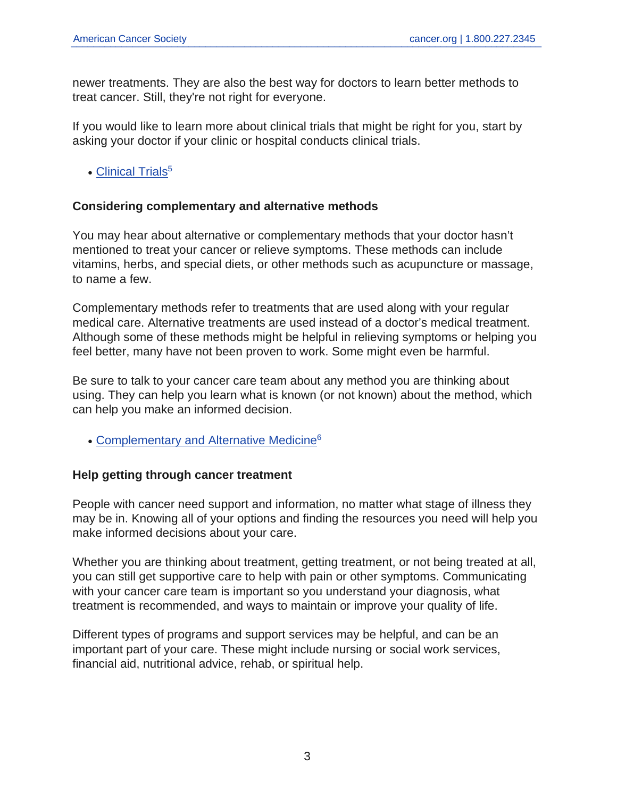newer treatments. They are also the best way for doctors to learn better methods to treat cancer. Still, they're not right for everyone.

If you would like to learn more about clinical trials that might be right for you, start by asking your doctor if your clinic or hospital conducts clinical trials.

• [Clinical Trials](https://www.cancer.org/content/cancer/en/treatment/treatments-and-side-effects/clinical-trials.html)<sup>5</sup>

#### **Considering complementary and alternative methods**

You may hear about alternative or complementary methods that your doctor hasn't mentioned to treat your cancer or relieve symptoms. These methods can include vitamins, herbs, and special diets, or other methods such as acupuncture or massage, to name a few.

Complementary methods refer to treatments that are used along with your regular medical care. Alternative treatments are used instead of a doctor's medical treatment. Although some of these methods might be helpful in relieving symptoms or helping you feel better, many have not been proven to work. Some might even be harmful.

Be sure to talk to your cancer care team about any method you are thinking about using. They can help you learn what is known (or not known) about the method, which can help you make an informed decision.

• [Complementary and Alternative Medicine](https://www.cancer.org/content/cancer/en/treatment/treatments-and-side-effects/complementary-and-alternative-medicine.html)<sup>6</sup>

#### **Help getting through cancer treatment**

People with cancer need support and information, no matter what stage of illness they may be in. Knowing all of your options and finding the resources you need will help you make informed decisions about your care.

Whether you are thinking about treatment, getting treatment, or not being treated at all, you can still get supportive care to help with pain or other symptoms. Communicating with your cancer care team is important so you understand your diagnosis, what treatment is recommended, and ways to maintain or improve your quality of life.

Different types of programs and support services may be helpful, and can be an important part of your care. These might include nursing or social work services, financial aid, nutritional advice, rehab, or spiritual help.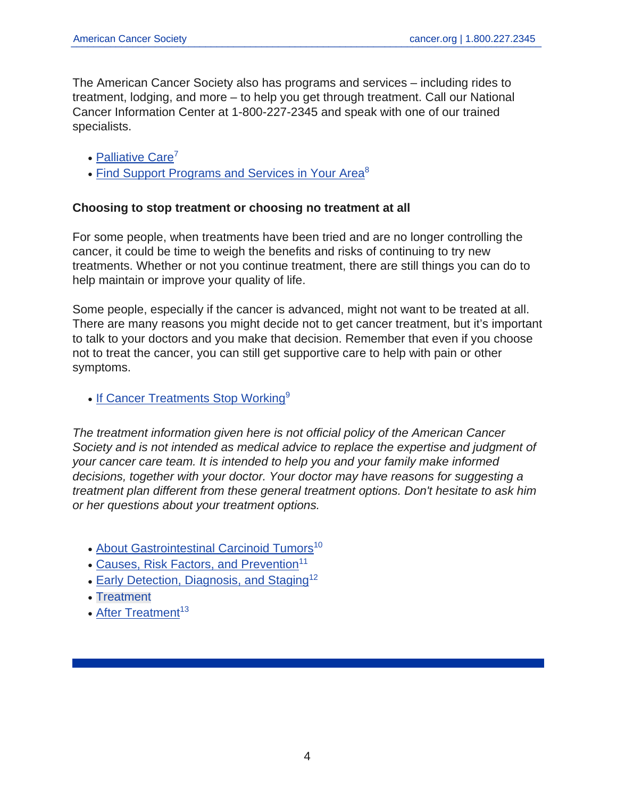The American Cancer Society also has programs and services – including rides to treatment, lodging, and more – to help you get through treatment. Call our National Cancer Information Center at 1-800-227-2345 and speak with one of our trained specialists.

- [Palliative Care](https://www.cancer.org/content/cancer/en/treatment/treatments-and-side-effects/palliative-care.html)<sup>7</sup>
- [Find Support Programs and Services in Your Area](https://www.cancer.org/content/cancer/en/treatment/support-programs-and-services.html)<sup>8</sup>

#### **Choosing to stop treatment or choosing no treatment at all**

For some people, when treatments have been tried and are no longer controlling the cancer, it could be time to weigh the benefits and risks of continuing to try new treatments. Whether or not you continue treatment, there are still things you can do to help maintain or improve your quality of life.

Some people, especially if the cancer is advanced, might not want to be treated at all. There are many reasons you might decide not to get cancer treatment, but it's important to talk to your doctors and you make that decision. Remember that even if you choose not to treat the cancer, you can still get supportive care to help with pain or other symptoms.

• [If Cancer Treatments Stop Working](https://www.cancer.org/content/cancer/en/treatment/treatments-and-side-effects/if-cancer-treatments-stop-working.html)<sup>9</sup>

The treatment information given here is not official policy of the American Cancer Society and is not intended as medical advice to replace the expertise and judgment of your cancer care team. It is intended to help you and your family make informed decisions, together with your doctor. Your doctor may have reasons for suggesting a treatment plan different from these general treatment options. Don't hesitate to ask him or her questions about your treatment options.

- [About Gastrointestinal Carcinoid Tumors](https://www.cancer.org/content/cancer/en/cancer/gastrointestinal-carcinoid-tumor/about.html)<sup>10</sup>
- [Causes, Risk Factors, and Prevention](https://www.cancer.org/content/cancer/en/cancer/gastrointestinal-carcinoid-tumor/causes-risks-prevention.html)<sup>11</sup>
- [Early Detection, Diagnosis, and Staging](https://www.cancer.org/content/cancer/en/cancer/gastrointestinal-carcinoid-tumor/detection-diagnosis-staging.html)<sup>12</sup>
- Treatment
- [After Treatment](https://www.cancer.org/content/cancer/en/cancer/gastrointestinal-carcinoid-tumor/after-treatment.html) $13$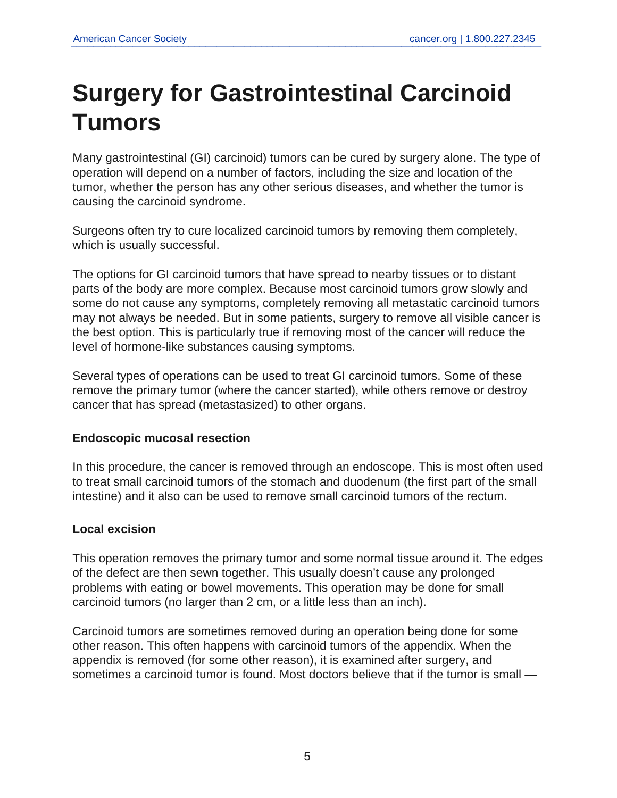# **Surgery for Gastrointestinal Carcinoid Tumors**

<span id="page-4-0"></span>Many gastrointestinal (GI) carcinoid) tumors can be cured by surgery alone. The type of operation will depend on a number of factors, including the size and location of the tumor, whether the person has any other serious diseases, and whether the tumor is causing the carcinoid syndrome.

Surgeons often try to cure localized carcinoid tumors by removing them completely, which is usually successful.

The options for GI carcinoid tumors that have spread to nearby tissues or to distant parts of the body are more complex. Because most carcinoid tumors grow slowly and some do not cause any symptoms, completely removing all metastatic carcinoid tumors may not always be needed. But in some patients, surgery to remove all visible cancer is the best option. This is particularly true if removing most of the cancer will reduce the level of hormone-like substances causing symptoms.

Several types of operations can be used to treat GI carcinoid tumors. Some of these remove the primary tumor (where the cancer started), while others remove or destroy cancer that has spread (metastasized) to other organs.

#### **Endoscopic mucosal resection**

In this procedure, the cancer is removed through an endoscope. This is most often used to treat small carcinoid tumors of the stomach and duodenum (the first part of the small intestine) and it also can be used to remove small carcinoid tumors of the rectum.

## **Local excision**

This operation removes the primary tumor and some normal tissue around it. The edges of the defect are then sewn together. This usually doesn't cause any prolonged problems with eating or bowel movements. This operation may be done for small carcinoid tumors (no larger than 2 cm, or a little less than an inch).

Carcinoid tumors are sometimes removed during an operation being done for some other reason. This often happens with carcinoid tumors of the appendix. When the appendix is removed (for some other reason), it is examined after surgery, and sometimes a carcinoid tumor is found. Most doctors believe that if the tumor is small —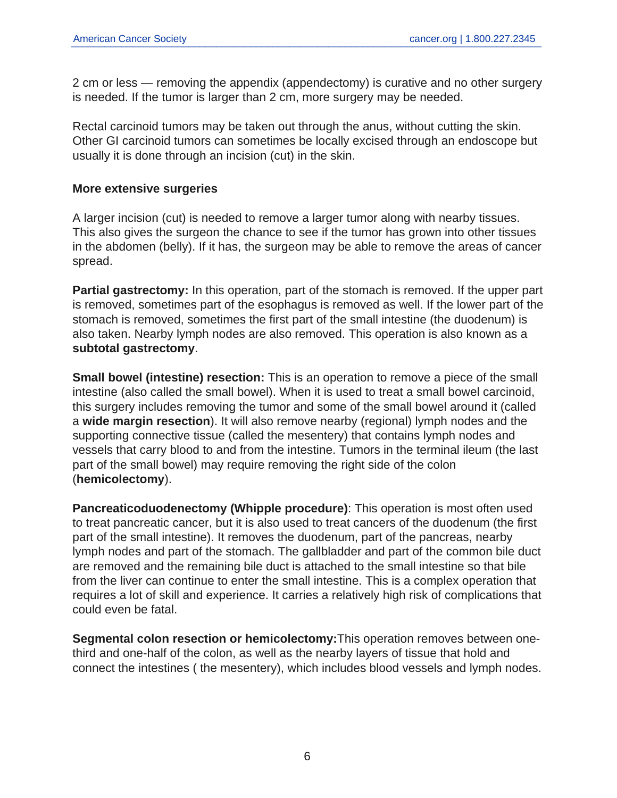2 cm or less — removing the appendix (appendectomy) is curative and no other surgery is needed. If the tumor is larger than 2 cm, more surgery may be needed.

Rectal carcinoid tumors may be taken out through the anus, without cutting the skin. Other GI carcinoid tumors can sometimes be locally excised through an endoscope but usually it is done through an incision (cut) in the skin.

#### **More extensive surgeries**

A larger incision (cut) is needed to remove a larger tumor along with nearby tissues. This also gives the surgeon the chance to see if the tumor has grown into other tissues in the abdomen (belly). If it has, the surgeon may be able to remove the areas of cancer spread.

**Partial gastrectomy:** In this operation, part of the stomach is removed. If the upper part is removed, sometimes part of the esophagus is removed as well. If the lower part of the stomach is removed, sometimes the first part of the small intestine (the duodenum) is also taken. Nearby lymph nodes are also removed. This operation is also known as a **subtotal gastrectomy**.

**Small bowel (intestine) resection:** This is an operation to remove a piece of the small intestine (also called the small bowel). When it is used to treat a small bowel carcinoid, this surgery includes removing the tumor and some of the small bowel around it (called a **wide margin resection**). It will also remove nearby (regional) lymph nodes and the supporting connective tissue (called the mesentery) that contains lymph nodes and vessels that carry blood to and from the intestine. Tumors in the terminal ileum (the last part of the small bowel) may require removing the right side of the colon (**hemicolectomy**).

**Pancreaticoduodenectomy (Whipple procedure)**: This operation is most often used to treat pancreatic cancer, but it is also used to treat cancers of the duodenum (the first part of the small intestine). It removes the duodenum, part of the pancreas, nearby lymph nodes and part of the stomach. The gallbladder and part of the common bile duct are removed and the remaining bile duct is attached to the small intestine so that bile from the liver can continue to enter the small intestine. This is a complex operation that requires a lot of skill and experience. It carries a relatively high risk of complications that could even be fatal.

**Segmental colon resection or hemicolectomy:**This operation removes between onethird and one-half of the colon, as well as the nearby layers of tissue that hold and connect the intestines ( the mesentery), which includes blood vessels and lymph nodes.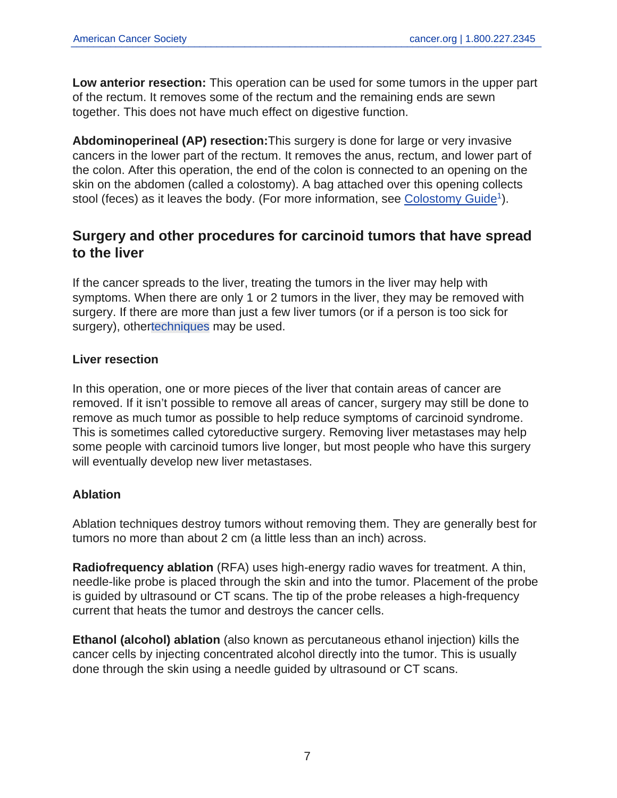**Low anterior resection:** This operation can be used for some tumors in the upper part of the rectum. It removes some of the rectum and the remaining ends are sewn together. This does not have much effect on digestive function.

**Abdominoperineal (AP) resection:**This surgery is done for large or very invasive cancers in the lower part of the rectum. It removes the anus, rectum, and lower part of the colon. After this operation, the end of the colon is connected to an opening on the skin on the abdomen (called a colostomy). A bag attached over this opening collects stool (feces) as it leaves the body. (For more information, see [Colostomy Guide](https://www.cancer.org/content/cancer/en/treatment/treatments-and-side-effects/treatment-types/surgery/ostomies/colostomy.html)<sup>1</sup>).

## **Surgery and other procedures for carcinoid tumors that have spread to the liver**

If the cancer spreads to the liver, treating the tumors in the liver may help with symptoms. When there are only 1 or 2 tumors in the liver, they may be removed with surgery. If there are more than just a few liver tumors (or if a person is too sick for surgery), othe[rtechniques](#page-13-0) may be used.

#### **Liver resection**

In this operation, one or more pieces of the liver that contain areas of cancer are removed. If it isn't possible to remove all areas of cancer, surgery may still be done to remove as much tumor as possible to help reduce symptoms of carcinoid syndrome. This is sometimes called cytoreductive surgery. Removing liver metastases may help some people with carcinoid tumors live longer, but most people who have this surgery will eventually develop new liver metastases.

## **Ablation**

Ablation techniques destroy tumors without removing them. They are generally best for tumors no more than about 2 cm (a little less than an inch) across.

**Radiofrequency ablation** (RFA) uses high-energy radio waves for treatment. A thin, needle-like probe is placed through the skin and into the tumor. Placement of the probe is guided by ultrasound or CT scans. The tip of the probe releases a high-frequency current that heats the tumor and destroys the cancer cells.

**Ethanol (alcohol) ablation** (also known as percutaneous ethanol injection) kills the cancer cells by injecting concentrated alcohol directly into the tumor. This is usually done through the skin using a needle guided by ultrasound or CT scans.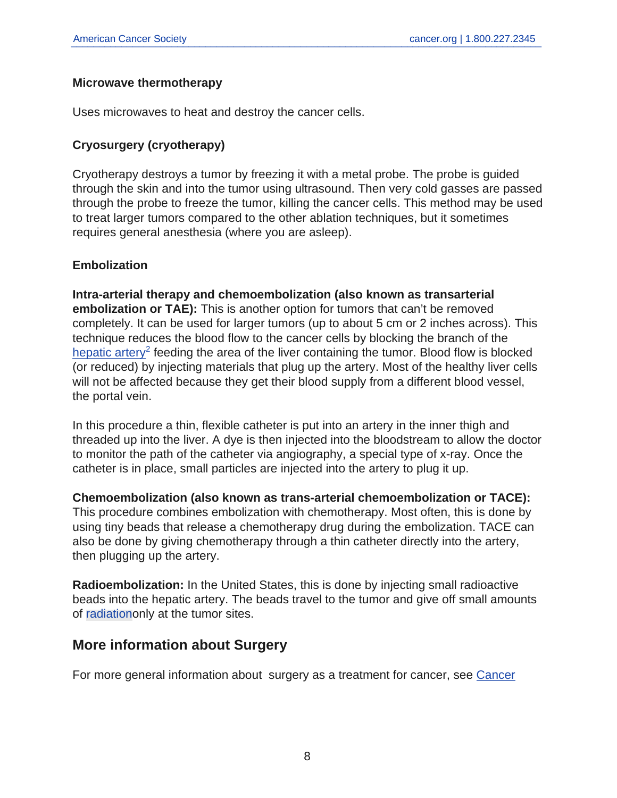#### **Microwave thermotherapy**

Uses microwaves to heat and destroy the cancer cells.

## **Cryosurgery (cryotherapy)**

Cryotherapy destroys a tumor by freezing it with a metal probe. The probe is guided through the skin and into the tumor using ultrasound. Then very cold gasses are passed through the probe to freeze the tumor, killing the cancer cells. This method may be used to treat larger tumors compared to the other ablation techniques, but it sometimes requires general anesthesia (where you are asleep).

#### **Embolization**

**Intra-arterial therapy and chemoembolization (also known as transarterial embolization or TAE):** This is another option for tumors that can't be removed completely. It can be used for larger tumors (up to about 5 cm or 2 inches across). This technique reduces the blood flow to the cancer cells by blocking the branch of the [hepatic artery](https://www.cancer.org/content/cancer/en/cancer/liver-cancer/treating/chemotherapy.html)<sup>2</sup> feeding the area of the liver containing the tumor. Blood flow is blocked (or reduced) by injecting materials that plug up the artery. Most of the healthy liver cells will not be affected because they get their blood supply from a different blood vessel, the portal vein.

In this procedure a thin, flexible catheter is put into an artery in the inner thigh and threaded up into the liver. A dye is then injected into the bloodstream to allow the doctor to monitor the path of the catheter via angiography, a special type of x-ray. Once the catheter is in place, small particles are injected into the artery to plug it up.

**Chemoembolization (also known as trans-arterial chemoembolization or TACE):**

This procedure combines embolization with chemotherapy. Most often, this is done by using tiny beads that release a chemotherapy drug during the embolization. TACE can also be done by giving chemotherapy through a thin catheter directly into the artery, then plugging up the artery.

**Radioembolization:** In the United States, this is done by injecting small radioactive beads into the hepatic artery. The beads travel to the tumor and give off small amounts of [radiation](#page-13-0)only at the tumor sites.

## **More information about Surgery**

For more general information about surgery as a treatment for cancer, see [Cancer](https://www.cancer.org/content/cancer/en/treatment/treatments-and-side-effects/treatment-types/surgery.html)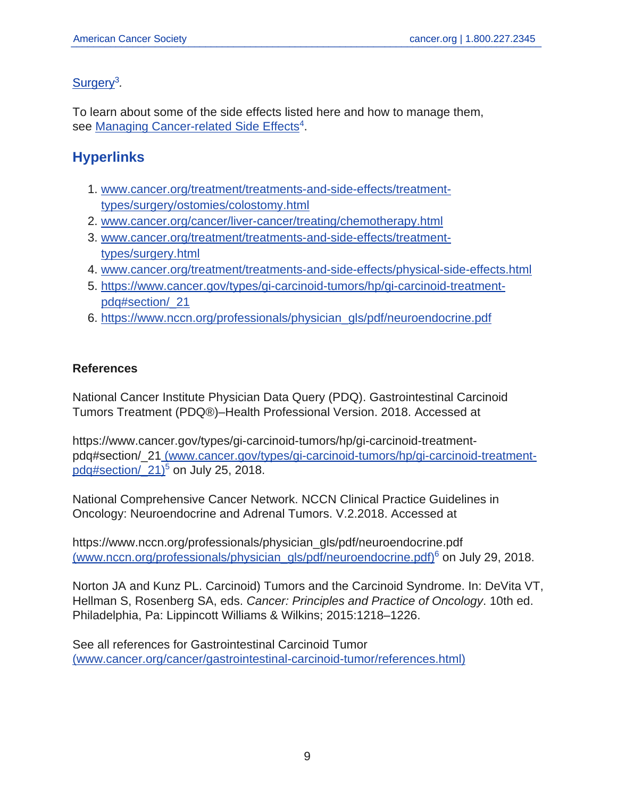## [Surgery](https://www.cancer.org/content/cancer/en/treatment/treatments-and-side-effects/treatment-types/surgery.html)<sup>3</sup>.

To learn about some of the side effects listed here and how to manage them, see [Managing Cancer-related Side Effects](https://www.cancer.org/content/cancer/en/treatment/treatments-and-side-effects/physical-side-effects.html)<sup>4</sup>.

## **Hyperlinks**

- 1. [www.cancer.org/treatment/treatments-and-side-effects/treatment](www.cancer.org/treatment/treatments-and-side-effects/treatment-types/surgery/ostomies/colostomy.html)[types/surgery/ostomies/colostomy.html](www.cancer.org/treatment/treatments-and-side-effects/treatment-types/surgery/ostomies/colostomy.html)
- 2. <www.cancer.org/cancer/liver-cancer/treating/chemotherapy.html>
- 3. [www.cancer.org/treatment/treatments-and-side-effects/treatment](www.cancer.org/treatment/treatments-and-side-effects/treatment-types/surgery.html)[types/surgery.html](www.cancer.org/treatment/treatments-and-side-effects/treatment-types/surgery.html)
- 4. <www.cancer.org/treatment/treatments-and-side-effects/physical-side-effects.html>
- 5. [https://www.cancer.gov/types/gi-carcinoid-tumors/hp/gi-carcinoid-treatment](https://www.cancer.gov/types/gi-carcinoid-tumors/hp/gi-carcinoid-treatment-pdq#section/_21)[pdq#section/\\_21](https://www.cancer.gov/types/gi-carcinoid-tumors/hp/gi-carcinoid-treatment-pdq#section/_21)
- 6. [https://www.nccn.org/professionals/physician\\_gls/pdf/neuroendocrine.pdf](https://www.nccn.org/professionals/physician_gls/pdf/neuroendocrine.pdf)

## **References**

National Cancer Institute Physician Data Query (PDQ). Gastrointestinal Carcinoid Tumors Treatment (PDQ®)–Health Professional Version. 2018. Accessed at

https://www.cancer.gov/types/gi-carcinoid-tumors/hp/gi-carcinoid-treatmentpdq#section/\_2[1](https://www.cancer.gov/types/gi-carcinoid-tumors/hp/gi-carcinoid-treatment-pdq#section/_21) [\(www.cancer.gov/types/gi-carcinoid-tumors/hp/gi-carcinoid-treatment](https://www.cancer.gov/types/gi-carcinoid-tumors/hp/gi-carcinoid-treatment-pdq#section/_21)pdq#section/ $21$ <sup>5</sup> on July 25, 2018.

National Comprehensive Cancer Network. NCCN Clinical Practice Guidelines in Oncology: Neuroendocrine and Adrenal Tumors. V.2.2018. Accessed at

https://www.nccn.org/professionals/physician\_gls/pdf/neuroendocrine.pdf [\(www.nccn.org/professionals/physician\\_gls/pdf/neuroendocrine.pdf\)](https://www.nccn.org/professionals/physician_gls/pdf/neuroendocrine.pdf)<sup>6</sup> on July 29, 2018.

Norton JA and Kunz PL. Carcinoid) Tumors and the Carcinoid Syndrome. In: DeVita VT, Hellman S, Rosenberg SA, eds. Cancer: Principles and Practice of Oncology. 10th ed. Philadelphia, Pa: Lippincott Williams & Wilkins; 2015:1218–1226.

See all references for Gastrointestinal Carcinoid Tumor [\(www.cancer.org/cancer/gastrointestinal-carcinoid-tumor/references.html\)](https://www.cancer.org/content/cancer/en/cancer/gastrointestinal-carcinoid-tumor/references.html)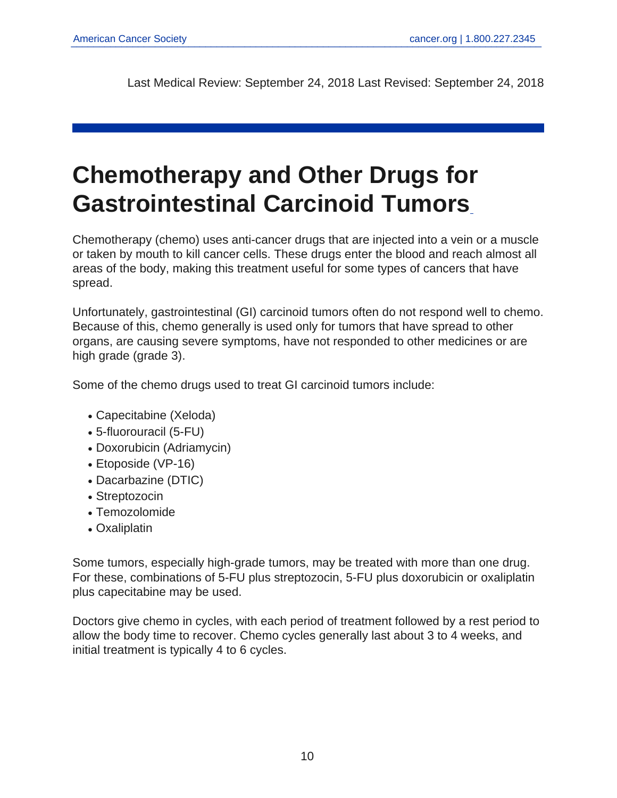<span id="page-9-0"></span>Last Medical Review: September 24, 2018 Last Revised: September 24, 2018

# **Chemotherapy and Other Drugs for Gastrointestinal Carcinoid Tumors**

Chemotherapy (chemo) uses anti-cancer drugs that are injected into a vein or a muscle or taken by mouth to kill cancer cells. These drugs enter the blood and reach almost all areas of the body, making this treatment useful for some types of cancers that have spread.

Unfortunately, gastrointestinal (GI) carcinoid tumors often do not respond well to chemo. Because of this, chemo generally is used only for tumors that have spread to other organs, are causing severe symptoms, have not responded to other medicines or are high grade (grade 3).

Some of the chemo drugs used to treat GI carcinoid tumors include:

- Capecitabine (Xeloda)
- 5-fluorouracil (5-FU)
- Doxorubicin (Adriamycin)
- Etoposide (VP-16)
- Dacarbazine (DTIC)
- Streptozocin
- Temozolomide
- Oxaliplatin

Some tumors, especially high-grade tumors, may be treated with more than one drug. For these, combinations of 5-FU plus streptozocin, 5-FU plus doxorubicin or oxaliplatin plus capecitabine may be used.

Doctors give chemo in cycles, with each period of treatment followed by a rest period to allow the body time to recover. Chemo cycles generally last about 3 to 4 weeks, and initial treatment is typically 4 to 6 cycles.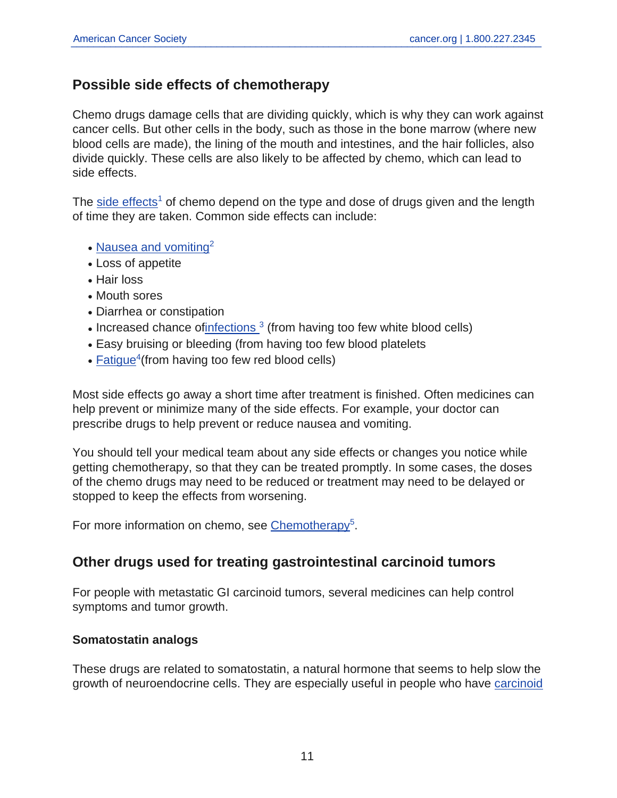## **Possible side effects of chemotherapy**

Chemo drugs damage cells that are dividing quickly, which is why they can work against cancer cells. But other cells in the body, such as those in the bone marrow (where new blood cells are made), the lining of the mouth and intestines, and the hair follicles, also divide quickly. These cells are also likely to be affected by chemo, which can lead to side effects.

The [side effects](https://www.cancer.org/content/cancer/en/treatment/treatments-and-side-effects/physical-side-effects.html)<sup>1</sup> of chemo depend on the type and dose of drugs given and the length of time they are taken. Common side effects can include:

- [Nausea and vomiting](https://www.cancer.org/content/cancer/en/treatment/treatments-and-side-effects/physical-side-effects/nausea-and-vomiting.html) $2$
- Loss of appetite
- Hair loss
- Mouth sores
- Diarrhea or constipation
- Increased chance of infections  $3$  (from having too few white blood cells)
- Easy bruising or bleeding (from having too few blood platelets
- $\cdot$  [Fatigue](https://www.cancer.org/content/cancer/en/treatment/treatments-and-side-effects/physical-side-effects/fatigue.html)<sup>4</sup> (from having too few red blood cells)

Most side effects go away a short time after treatment is finished. Often medicines can help prevent or minimize many of the side effects. For example, your doctor can prescribe drugs to help prevent or reduce nausea and vomiting.

You should tell your medical team about any side effects or changes you notice while getting chemotherapy, so that they can be treated promptly. In some cases, the doses of the chemo drugs may need to be reduced or treatment may need to be delayed or stopped to keep the effects from worsening.

For more information on chemo, see [Chemotherapy](https://www.cancer.org/content/cancer/en/treatment/treatments-and-side-effects/treatment-types/chemotherapy.html)<sup>5</sup>.

## **Other drugs used for treating gastrointestinal carcinoid tumors**

For people with metastatic GI carcinoid tumors, several medicines can help control symptoms and tumor growth.

#### **Somatostatin analogs**

These drugs are related to somatostatin, a natural hormone that seems to help slow the growth of neuroendocrine cells. They are especially useful in people who have [carcinoid](https://www.cancer.org/content/cancer/en/cancer/gastrointestinal-carcinoid-tumor/detection-diagnosis-staging/signs-symptoms.html)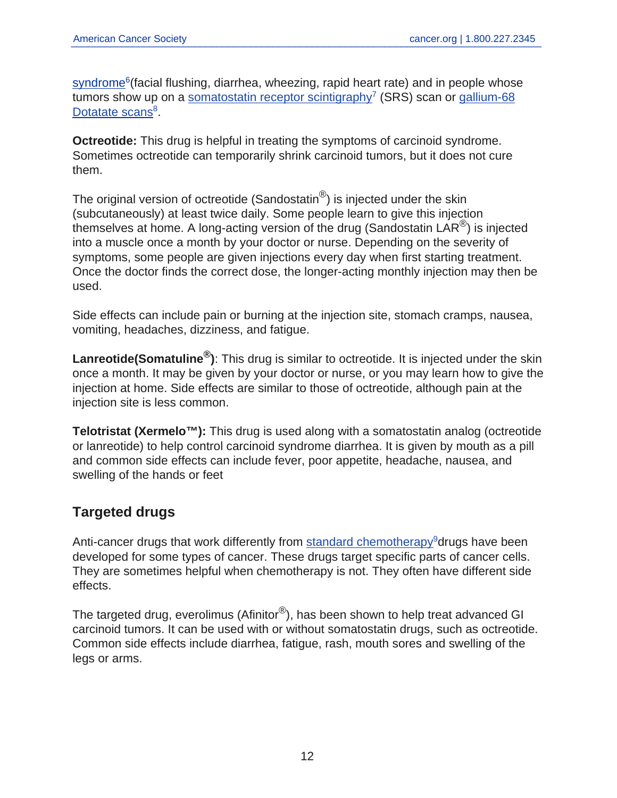[syndrome](https://www.cancer.org/content/cancer/en/cancer/gastrointestinal-carcinoid-tumor/detection-diagnosis-staging/signs-symptoms.html)<sup>6</sup>(facial flushing, diarrhea, wheezing, rapid heart rate) and in people whose tumors show up on a [somatostatin receptor scintigraphy](https://www.cancer.org/content/cancer/en/cancer/gastrointestinal-carcinoid-tumor/detection-diagnosis-staging/how-diagnosed.html)<sup>7</sup> (SRS) scan or [gallium-68](https://www.cancer.org/content/cancer/en/cancer/gastrointestinal-carcinoid-tumor/detection-diagnosis-staging/how-diagnosed.html) [Dotatate scans](https://www.cancer.org/content/cancer/en/cancer/gastrointestinal-carcinoid-tumor/detection-diagnosis-staging/how-diagnosed.html)<sup>8</sup>.

**Octreotide:** This drug is helpful in treating the symptoms of carcinoid syndrome. Sometimes octreotide can temporarily shrink carcinoid tumors, but it does not cure them.

The original version of octreotide (Sandostatin<sup>®</sup>) is injected under the skin (subcutaneously) at least twice daily. Some people learn to give this injection themselves at home. A long-acting version of the drug (Sandostatin LAR®) is injected into a muscle once a month by your doctor or nurse. Depending on the severity of symptoms, some people are given injections every day when first starting treatment. Once the doctor finds the correct dose, the longer-acting monthly injection may then be used.

Side effects can include pain or burning at the injection site, stomach cramps, nausea, vomiting, headaches, dizziness, and fatigue.

**Lanreotide(Somatuline®)**: This drug is similar to octreotide. It is injected under the skin once a month. It may be given by your doctor or nurse, or you may learn how to give the injection at home. Side effects are similar to those of octreotide, although pain at the injection site is less common.

**Telotristat (Xermelo™):** This drug is used along with a somatostatin analog (octreotide or lanreotide) to help control carcinoid syndrome diarrhea. It is given by mouth as a pill and common side effects can include fever, poor appetite, headache, nausea, and swelling of the hands or feet

## **Targeted drugs**

Anti-cancer drugs that work differently from [standard chemotherapy](https://www.cancer.org/content/cancer/en/treatment/treatments-and-side-effects/treatment-types/chemotherapy.html)<sup>9</sup>drugs have been developed for some types of cancer. These drugs target specific parts of cancer cells. They are sometimes helpful when chemotherapy is not. They often have different side effects.

The targeted drug, everolimus (Afinitor<sup>®</sup>), has been shown to help treat advanced GI carcinoid tumors. It can be used with or without somatostatin drugs, such as octreotide. Common side effects include diarrhea, fatigue, rash, mouth sores and swelling of the legs or arms.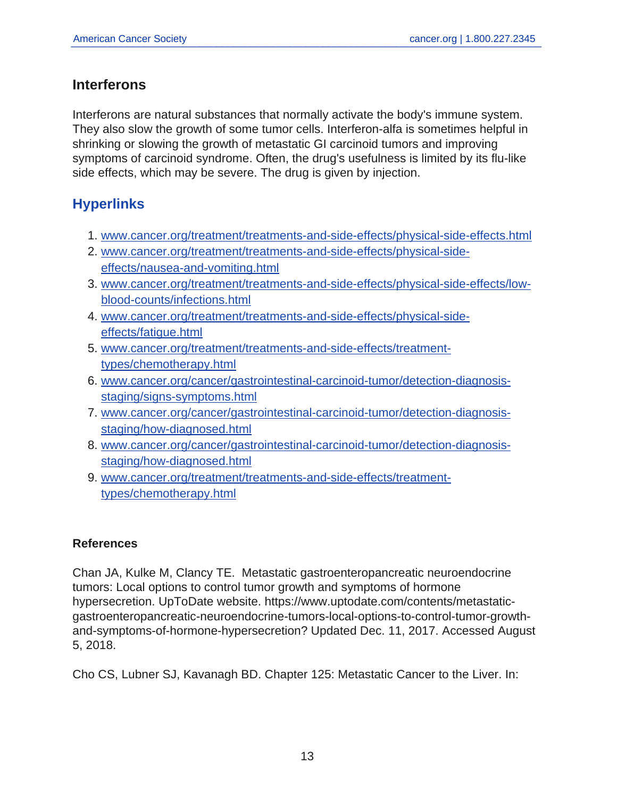## **Interferons**

Interferons are natural substances that normally activate the body's immune system. They also slow the growth of some tumor cells. Interferon-alfa is sometimes helpful in shrinking or slowing the growth of metastatic GI carcinoid tumors and improving symptoms of carcinoid syndrome. Often, the drug's usefulness is limited by its flu-like side effects, which may be severe. The drug is given by injection.

## **Hyperlinks**

- 1. <www.cancer.org/treatment/treatments-and-side-effects/physical-side-effects.html>
- 2. [www.cancer.org/treatment/treatments-and-side-effects/physical-side](www.cancer.org/treatment/treatments-and-side-effects/physical-side-effects/nausea-and-vomiting.html)[effects/nausea-and-vomiting.html](www.cancer.org/treatment/treatments-and-side-effects/physical-side-effects/nausea-and-vomiting.html)
- 3. [www.cancer.org/treatment/treatments-and-side-effects/physical-side-effects/low](www.cancer.org/treatment/treatments-and-side-effects/physical-side-effects/low-blood-counts/infections.html)[blood-counts/infections.html](www.cancer.org/treatment/treatments-and-side-effects/physical-side-effects/low-blood-counts/infections.html)
- 4. [www.cancer.org/treatment/treatments-and-side-effects/physical-side](www.cancer.org/treatment/treatments-and-side-effects/physical-side-effects/fatigue.html)[effects/fatigue.html](www.cancer.org/treatment/treatments-and-side-effects/physical-side-effects/fatigue.html)
- 5. [www.cancer.org/treatment/treatments-and-side-effects/treatment](www.cancer.org/treatment/treatments-and-side-effects/treatment-types/chemotherapy.html)[types/chemotherapy.html](www.cancer.org/treatment/treatments-and-side-effects/treatment-types/chemotherapy.html)
- 6. [www.cancer.org/cancer/gastrointestinal-carcinoid-tumor/detection-diagnosis](www.cancer.org/cancer/gastrointestinal-carcinoid-tumor/detection-diagnosis-staging/signs-symptoms.html)[staging/signs-symptoms.html](www.cancer.org/cancer/gastrointestinal-carcinoid-tumor/detection-diagnosis-staging/signs-symptoms.html)
- 7. [www.cancer.org/cancer/gastrointestinal-carcinoid-tumor/detection-diagnosis](www.cancer.org/cancer/gastrointestinal-carcinoid-tumor/detection-diagnosis-staging/how-diagnosed.html)[staging/how-diagnosed.html](www.cancer.org/cancer/gastrointestinal-carcinoid-tumor/detection-diagnosis-staging/how-diagnosed.html)
- 8. [www.cancer.org/cancer/gastrointestinal-carcinoid-tumor/detection-diagnosis](www.cancer.org/cancer/gastrointestinal-carcinoid-tumor/detection-diagnosis-staging/how-diagnosed.html)[staging/how-diagnosed.html](www.cancer.org/cancer/gastrointestinal-carcinoid-tumor/detection-diagnosis-staging/how-diagnosed.html)
- 9. [www.cancer.org/treatment/treatments-and-side-effects/treatment](www.cancer.org/treatment/treatments-and-side-effects/treatment-types/chemotherapy.html)[types/chemotherapy.html](www.cancer.org/treatment/treatments-and-side-effects/treatment-types/chemotherapy.html)

## **References**

Chan JA, Kulke M, Clancy TE. Metastatic gastroenteropancreatic neuroendocrine tumors: Local options to control tumor growth and symptoms of hormone hypersecretion. UpToDate website. https://www.uptodate.com/contents/metastaticgastroenteropancreatic-neuroendocrine-tumors-local-options-to-control-tumor-growthand-symptoms-of-hormone-hypersecretion? Updated Dec. 11, 2017. Accessed August 5, 2018.

Cho CS, Lubner SJ, Kavanagh BD. Chapter 125: Metastatic Cancer to the Liver. In: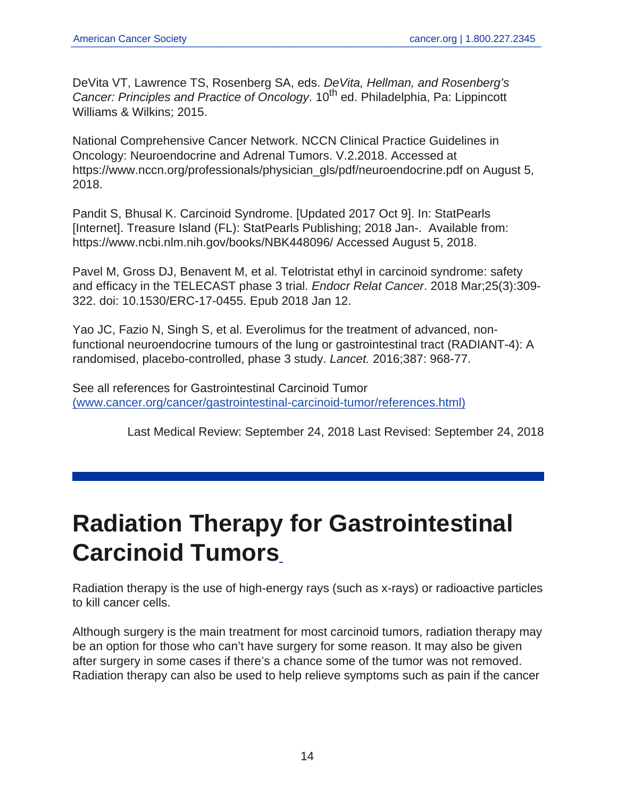DeVita VT, Lawrence TS, Rosenberg SA, eds. DeVita, Hellman, and Rosenberg's Cancer: Principles and Practice of Oncology. 10<sup>th</sup> ed. Philadelphia, Pa: Lippincott Williams & Wilkins; 2015.

National Comprehensive Cancer Network. NCCN Clinical Practice Guidelines in Oncology: Neuroendocrine and Adrenal Tumors. V.2.2018. Accessed at https://www.nccn.org/professionals/physician\_gls/pdf/neuroendocrine.pdf on August 5, 2018.

Pandit S, Bhusal K. Carcinoid Syndrome. [Updated 2017 Oct 9]. In: StatPearls [Internet]. Treasure Island (FL): StatPearls Publishing; 2018 Jan-. Available from: https://www.ncbi.nlm.nih.gov/books/NBK448096/ Accessed August 5, 2018.

Pavel M, Gross DJ, Benavent M, et al. Telotristat ethyl in carcinoid syndrome: safety and efficacy in the TELECAST phase 3 trial. Endocr Relat Cancer. 2018 Mar;25(3):309- 322. doi: 10.1530/ERC-17-0455. Epub 2018 Jan 12.

Yao JC, Fazio N, Singh S, et al. Everolimus for the treatment of advanced, nonfunctional neuroendocrine tumours of the lung or gastrointestinal tract (RADIANT-4): A randomised, placebo-controlled, phase 3 study. Lancet. 2016;387: 968-77.

See all references for Gastrointestinal Carcinoid Tumor [\(www.cancer.org/cancer/gastrointestinal-carcinoid-tumor/references.html\)](https://www.cancer.org/content/cancer/en/cancer/gastrointestinal-carcinoid-tumor/references.html)

<span id="page-13-0"></span>Last Medical Review: September 24, 2018 Last Revised: September 24, 2018

# **Radiation Therapy for Gastrointestinal Carcinoid Tumors**

Radiation therapy is the use of high-energy rays (such as x-rays) or radioactive particles to kill cancer cells.

Although surgery is the main treatment for most carcinoid tumors, radiation therapy may be an option for those who can't have surgery for some reason. It may also be given after surgery in some cases if there's a chance some of the tumor was not removed. Radiation therapy can also be used to help relieve symptoms such as pain if the cancer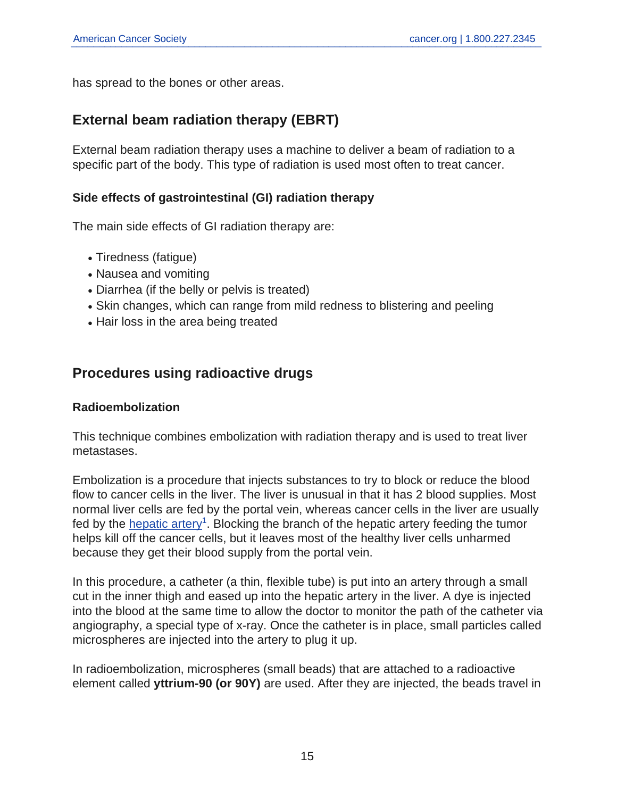has spread to the bones or other areas.

## **External beam radiation therapy (EBRT)**

External beam radiation therapy uses a machine to deliver a beam of radiation to a specific part of the body. This type of radiation is used most often to treat cancer.

#### **Side effects of gastrointestinal (GI) radiation therapy**

The main side effects of GI radiation therapy are:

- Tiredness (fatique)
- Nausea and vomiting
- Diarrhea (if the belly or pelvis is treated)
- Skin changes, which can range from mild redness to blistering and peeling
- Hair loss in the area being treated

## **Procedures using radioactive drugs**

#### **Radioembolization**

This technique combines embolization with radiation therapy and is used to treat liver metastases.

Embolization is a procedure that injects substances to try to block or reduce the blood flow to cancer cells in the liver. The liver is unusual in that it has 2 blood supplies. Most normal liver cells are fed by the portal vein, whereas cancer cells in the liver are usually fed by the [hepatic artery](https://www.cancer.org/content/cancer/en/cancer/liver-cancer/treating/chemotherapy.html)<sup>1</sup>. Blocking the branch of the hepatic artery feeding the tumor helps kill off the cancer cells, but it leaves most of the healthy liver cells unharmed because they get their blood supply from the portal vein.

In this procedure, a catheter (a thin, flexible tube) is put into an artery through a small cut in the inner thigh and eased up into the hepatic artery in the liver. A dye is injected into the blood at the same time to allow the doctor to monitor the path of the catheter via angiography, a special type of x-ray. Once the catheter is in place, small particles called microspheres are injected into the artery to plug it up.

In radioembolization, microspheres (small beads) that are attached to a radioactive element called **yttrium-90 (or 90Y)** are used. After they are injected, the beads travel in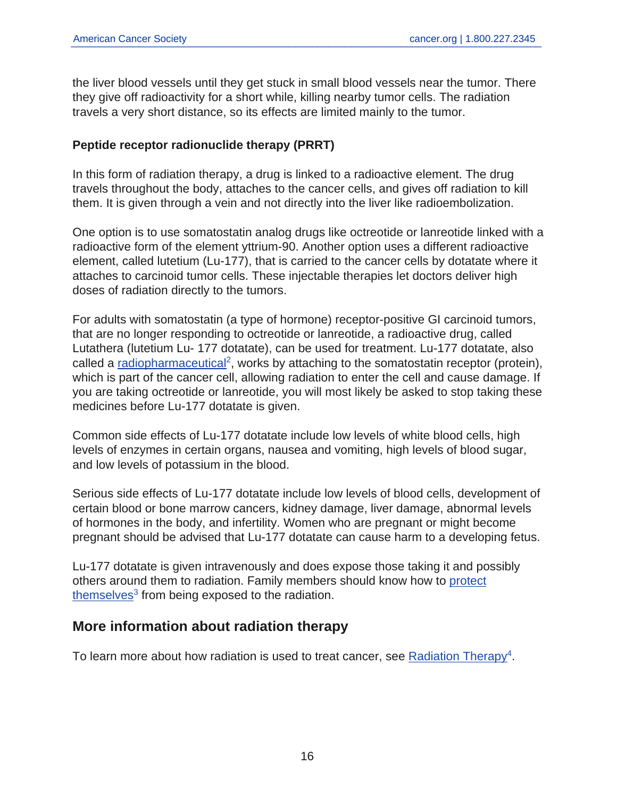the liver blood vessels until they get stuck in small blood vessels near the tumor. There they give off radioactivity for a short while, killing nearby tumor cells. The radiation travels a very short distance, so its effects are limited mainly to the tumor.

## **Peptide receptor radionuclide therapy (PRRT)**

In this form of radiation therapy, a drug is linked to a radioactive element. The drug travels throughout the body, attaches to the cancer cells, and gives off radiation to kill them. It is given through a vein and not directly into the liver like radioembolization.

One option is to use somatostatin analog drugs like octreotide or lanreotide linked with a radioactive form of the element yttrium-90. Another option uses a different radioactive element, called lutetium (Lu-177), that is carried to the cancer cells by dotatate where it attaches to carcinoid tumor cells. These injectable therapies let doctors deliver high doses of radiation directly to the tumors.

For adults with somatostatin (a type of hormone) receptor-positive GI carcinoid tumors, that are no longer responding to octreotide or lanreotide, a radioactive drug, called Lutathera (lutetium Lu- 177 dotatate), can be used for treatment. Lu-177 dotatate, also called a [radiopharmaceutical](https://www.cancer.org/content/cancer/en/treatment/treatments-and-side-effects/treatment-types/radiation/systemic-radiation-therapy.html)<sup>2</sup>, works by attaching to the somatostatin receptor (protein), which is part of the cancer cell, allowing radiation to enter the cell and cause damage. If you are taking octreotide or lanreotide, you will most likely be asked to stop taking these medicines before Lu-177 dotatate is given.

Common side effects of Lu-177 dotatate include low levels of white blood cells, high levels of enzymes in certain organs, nausea and vomiting, high levels of blood sugar, and low levels of potassium in the blood.

Serious side effects of Lu-177 dotatate include low levels of blood cells, development of certain blood or bone marrow cancers, kidney damage, liver damage, abnormal levels of hormones in the body, and infertility. Women who are pregnant or might become pregnant should be advised that Lu-177 dotatate can cause harm to a developing fetus.

Lu-177 dotatate is given intravenously and does expose those taking it and possibly others around them to radiation. Family members should know how to [protect](https://www.cancer.org/content/cancer/en/treatment/treatments-and-side-effects/treatment-types/radiation/systemic-radiation-therapy.html) [themselves](https://www.cancer.org/content/cancer/en/treatment/treatments-and-side-effects/treatment-types/radiation/systemic-radiation-therapy.html)<sup>3</sup> from being exposed to the radiation.

## **More information about radiation therapy**

To learn more about how radiation is used to treat cancer, see [Radiation Therapy](https://www.cancer.org/content/cancer/en/treatment/treatments-and-side-effects/treatment-types/radiation.html)<sup>4</sup>.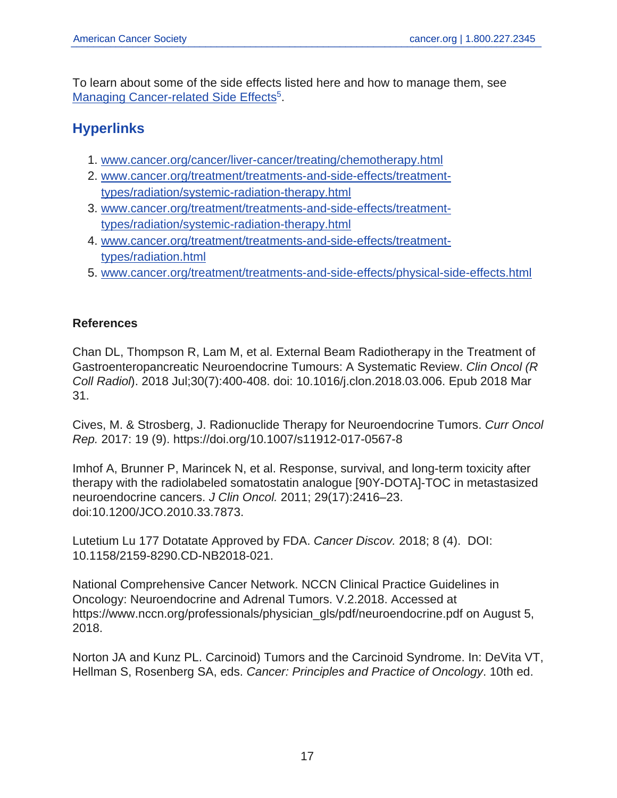To learn about some of the side effects listed here and how to manage them, see [Managing Cancer-related Side Effects](https://www.cancer.org/content/cancer/en/treatment/treatments-and-side-effects/physical-side-effects.html)<sup>5</sup>.

# **Hyperlinks**

- 1. <www.cancer.org/cancer/liver-cancer/treating/chemotherapy.html>
- 2. [www.cancer.org/treatment/treatments-and-side-effects/treatment](www.cancer.org/treatment/treatments-and-side-effects/treatment-types/radiation/systemic-radiation-therapy.html)[types/radiation/systemic-radiation-therapy.html](www.cancer.org/treatment/treatments-and-side-effects/treatment-types/radiation/systemic-radiation-therapy.html)
- 3. [www.cancer.org/treatment/treatments-and-side-effects/treatment](www.cancer.org/treatment/treatments-and-side-effects/treatment-types/radiation/systemic-radiation-therapy.html)[types/radiation/systemic-radiation-therapy.html](www.cancer.org/treatment/treatments-and-side-effects/treatment-types/radiation/systemic-radiation-therapy.html)
- 4. [www.cancer.org/treatment/treatments-and-side-effects/treatment](www.cancer.org/treatment/treatments-and-side-effects/treatment-types/radiation.html)[types/radiation.html](www.cancer.org/treatment/treatments-and-side-effects/treatment-types/radiation.html)
- 5. <www.cancer.org/treatment/treatments-and-side-effects/physical-side-effects.html>

#### **References**

Chan DL, Thompson R, Lam M, et al. External Beam Radiotherapy in the Treatment of Gastroenteropancreatic Neuroendocrine Tumours: A Systematic Review. Clin Oncol (R Coll Radiol). 2018 Jul;30(7):400-408. doi: 10.1016/j.clon.2018.03.006. Epub 2018 Mar 31.

Cives, M. & Strosberg, J. Radionuclide Therapy for Neuroendocrine Tumors. Curr Oncol Rep. 2017: 19 (9). https://doi.org/10.1007/s11912-017-0567-8

Imhof A, Brunner P, Marincek N, et al. Response, survival, and long-term toxicity after therapy with the radiolabeled somatostatin analogue [90Y-DOTA]-TOC in metastasized neuroendocrine cancers. J Clin Oncol. 2011; 29(17):2416–23. doi:10.1200/JCO.2010.33.7873.

Lutetium Lu 177 Dotatate Approved by FDA. Cancer Discov. 2018; 8 (4). DOI: 10.1158/2159-8290.CD-NB2018-021.

National Comprehensive Cancer Network. NCCN Clinical Practice Guidelines in Oncology: Neuroendocrine and Adrenal Tumors. V.2.2018. Accessed at https://www.nccn.org/professionals/physician\_gls/pdf/neuroendocrine.pdf on August 5, 2018.

Norton JA and Kunz PL. Carcinoid) Tumors and the Carcinoid Syndrome. In: DeVita VT, Hellman S, Rosenberg SA, eds. Cancer: Principles and Practice of Oncology. 10th ed.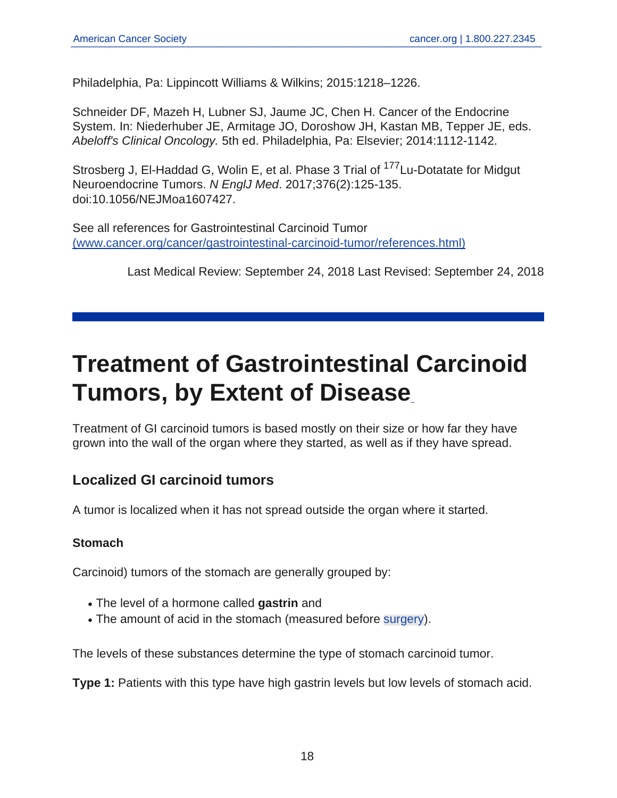Philadelphia, Pa: Lippincott Williams & Wilkins; 2015:1218–1226.

Schneider DF, Mazeh H, Lubner SJ, Jaume JC, Chen H. Cancer of the Endocrine System. In: Niederhuber JE, Armitage JO, Doroshow JH, Kastan MB, Tepper JE, eds. Abeloff's Clinical Oncology. 5th ed. Philadelphia, Pa: Elsevier; 2014:1112-1142.

Strosberg J, El-Haddad G, Wolin E, et al. Phase 3 Trial of <sup>177</sup>Lu-Dotatate for Midgut Neuroendocrine Tumors. N EnglJ Med. 2017;376(2):125-135. doi:10.1056/NEJMoa1607427.

See all references for Gastrointestinal Carcinoid Tumor [\(www.cancer.org/cancer/gastrointestinal-carcinoid-tumor/references.html\)](https://www.cancer.org/content/cancer/en/cancer/gastrointestinal-carcinoid-tumor/references.html)

<span id="page-17-0"></span>Last Medical Review: September 24, 2018 Last Revised: September 24, 2018

# **Treatment of Gastrointestinal Carcinoid Tumors, by Extent of Disease**

Treatment of GI carcinoid tumors is based mostly on their size or how far they have grown into the wall of the organ where they started, as well as if they have spread.

## **Localized GI carcinoid tumors**

A tumor is localized when it has not spread outside the organ where it started.

#### **Stomach**

Carcinoid) tumors of the stomach are generally grouped by:

- The level of a hormone called **gastrin** and
- The amount of acid in the stomach (measured before [surgery\)](#page-4-0).

The levels of these substances determine the type of stomach carcinoid tumor.

**Type 1:** Patients with this type have high gastrin levels but low levels of stomach acid.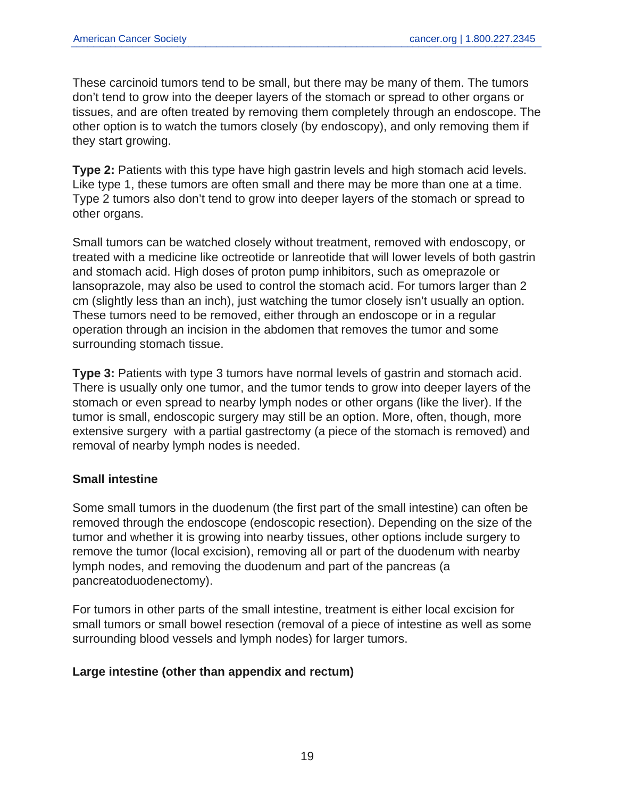These carcinoid tumors tend to be small, but there may be many of them. The tumors don't tend to grow into the deeper layers of the stomach or spread to other organs or tissues, and are often treated by removing them completely through an endoscope. The other option is to watch the tumors closely (by endoscopy), and only removing them if they start growing.

**Type 2:** Patients with this type have high gastrin levels and high stomach acid levels. Like type 1, these tumors are often small and there may be more than one at a time. Type 2 tumors also don't tend to grow into deeper layers of the stomach or spread to other organs.

Small tumors can be watched closely without treatment, removed with endoscopy, or treated with a medicine like octreotide or lanreotide that will lower levels of both gastrin and stomach acid. High doses of proton pump inhibitors, such as omeprazole or lansoprazole, may also be used to control the stomach acid. For tumors larger than 2 cm (slightly less than an inch), just watching the tumor closely isn't usually an option. These tumors need to be removed, either through an endoscope or in a regular operation through an incision in the abdomen that removes the tumor and some surrounding stomach tissue.

**Type 3:** Patients with type 3 tumors have normal levels of gastrin and stomach acid. There is usually only one tumor, and the tumor tends to grow into deeper layers of the stomach or even spread to nearby lymph nodes or other organs (like the liver). If the tumor is small, endoscopic surgery may still be an option. More, often, though, more extensive surgery with a partial gastrectomy (a piece of the stomach is removed) and removal of nearby lymph nodes is needed.

## **Small intestine**

Some small tumors in the duodenum (the first part of the small intestine) can often be removed through the endoscope (endoscopic resection). Depending on the size of the tumor and whether it is growing into nearby tissues, other options include surgery to remove the tumor (local excision), removing all or part of the duodenum with nearby lymph nodes, and removing the duodenum and part of the pancreas (a pancreatoduodenectomy).

For tumors in other parts of the small intestine, treatment is either local excision for small tumors or small bowel resection (removal of a piece of intestine as well as some surrounding blood vessels and lymph nodes) for larger tumors.

#### **Large intestine (other than appendix and rectum)**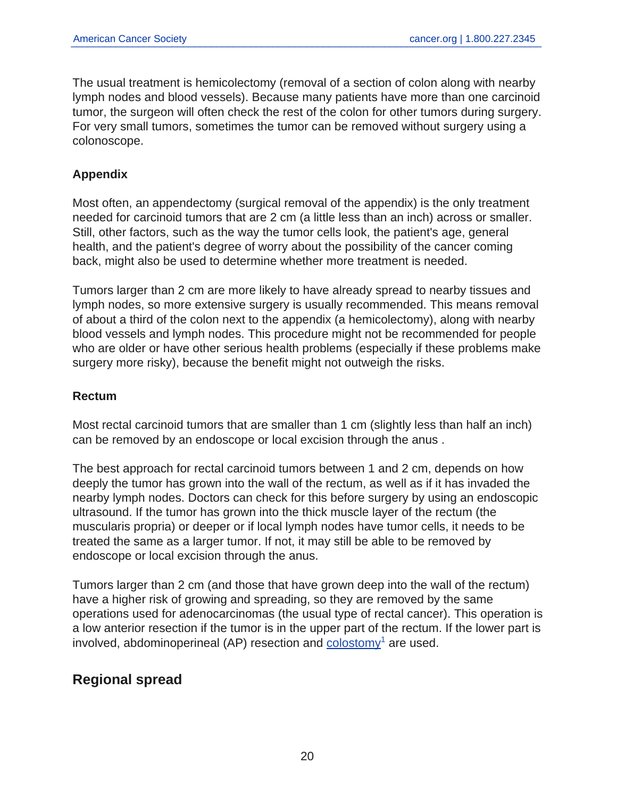The usual treatment is hemicolectomy (removal of a section of colon along with nearby lymph nodes and blood vessels). Because many patients have more than one carcinoid tumor, the surgeon will often check the rest of the colon for other tumors during surgery. For very small tumors, sometimes the tumor can be removed without surgery using a colonoscope.

## **Appendix**

Most often, an appendectomy (surgical removal of the appendix) is the only treatment needed for carcinoid tumors that are 2 cm (a little less than an inch) across or smaller. Still, other factors, such as the way the tumor cells look, the patient's age, general health, and the patient's degree of worry about the possibility of the cancer coming back, might also be used to determine whether more treatment is needed.

Tumors larger than 2 cm are more likely to have already spread to nearby tissues and lymph nodes, so more extensive surgery is usually recommended. This means removal of about a third of the colon next to the appendix (a hemicolectomy), along with nearby blood vessels and lymph nodes. This procedure might not be recommended for people who are older or have other serious health problems (especially if these problems make surgery more risky), because the benefit might not outweigh the risks.

#### **Rectum**

Most rectal carcinoid tumors that are smaller than 1 cm (slightly less than half an inch) can be removed by an endoscope or local excision through the anus .

The best approach for rectal carcinoid tumors between 1 and 2 cm, depends on how deeply the tumor has grown into the wall of the rectum, as well as if it has invaded the nearby lymph nodes. Doctors can check for this before surgery by using an endoscopic ultrasound. If the tumor has grown into the thick muscle layer of the rectum (the muscularis propria) or deeper or if local lymph nodes have tumor cells, it needs to be treated the same as a larger tumor. If not, it may still be able to be removed by endoscope or local excision through the anus.

Tumors larger than 2 cm (and those that have grown deep into the wall of the rectum) have a higher risk of growing and spreading, so they are removed by the same operations used for adenocarcinomas (the usual type of rectal cancer). This operation is a low anterior resection if the tumor is in the upper part of the rectum. If the lower part is involved, abdominoperineal (AP) resection and  $\frac{\text{colostomy}^1}{\text{colostomy}^1}$  $\frac{\text{colostomy}^1}{\text{colostomy}^1}$  $\frac{\text{colostomy}^1}{\text{colostomy}^1}$  are used.

## **Regional spread**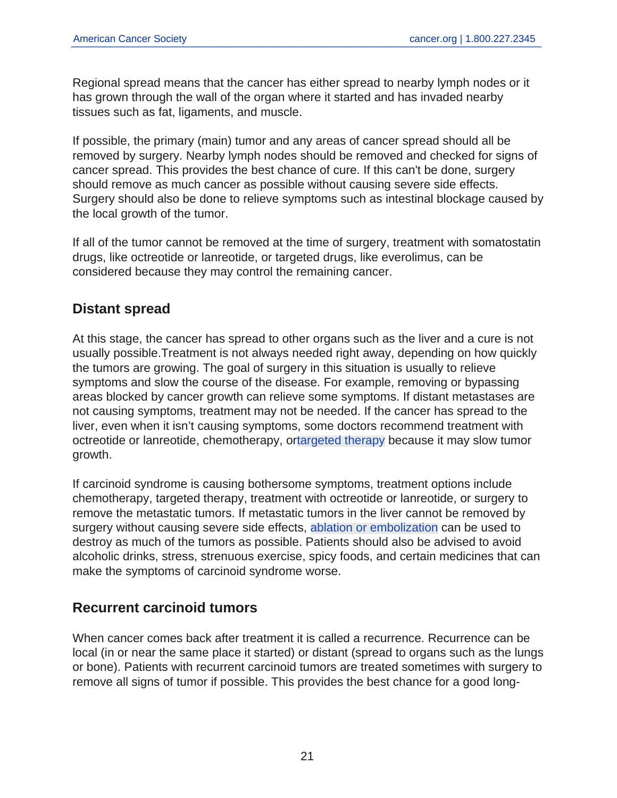Regional spread means that the cancer has either spread to nearby lymph nodes or it has grown through the wall of the organ where it started and has invaded nearby tissues such as fat, ligaments, and muscle.

If possible, the primary (main) tumor and any areas of cancer spread should all be removed by surgery. Nearby lymph nodes should be removed and checked for signs of cancer spread. This provides the best chance of cure. If this can't be done, surgery should remove as much cancer as possible without causing severe side effects. Surgery should also be done to relieve symptoms such as intestinal blockage caused by the local growth of the tumor.

If all of the tumor cannot be removed at the time of surgery, treatment with somatostatin drugs, like octreotide or lanreotide, or targeted drugs, like everolimus, can be considered because they may control the remaining cancer.

## **Distant spread**

At this stage, the cancer has spread to other organs such as the liver and a cure is not usually possible.Treatment is not always needed right away, depending on how quickly the tumors are growing. The goal of surgery in this situation is usually to relieve symptoms and slow the course of the disease. For example, removing or bypassing areas blocked by cancer growth can relieve some symptoms. If distant metastases are not causing symptoms, treatment may not be needed. If the cancer has spread to the liver, even when it isn't causing symptoms, some doctors recommend treatment with octreotide or lanreotide, chemotherapy, or[targeted therapy](#page-9-0) because it may slow tumor growth.

If carcinoid syndrome is causing bothersome symptoms, treatment options include chemotherapy, targeted therapy, treatment with octreotide or lanreotide, or surgery to remove the metastatic tumors. If metastatic tumors in the liver cannot be removed by surgery without causing severe side effects, [ablation or embolization](#page-4-0) can be used to destroy as much of the tumors as possible. Patients should also be advised to avoid alcoholic drinks, stress, strenuous exercise, spicy foods, and certain medicines that can make the symptoms of carcinoid syndrome worse.

## **Recurrent carcinoid tumors**

When cancer comes back after treatment it is called a recurrence. Recurrence can be local (in or near the same place it started) or distant (spread to organs such as the lungs or bone). Patients with recurrent carcinoid tumors are treated sometimes with surgery to remove all signs of tumor if possible. This provides the best chance for a good long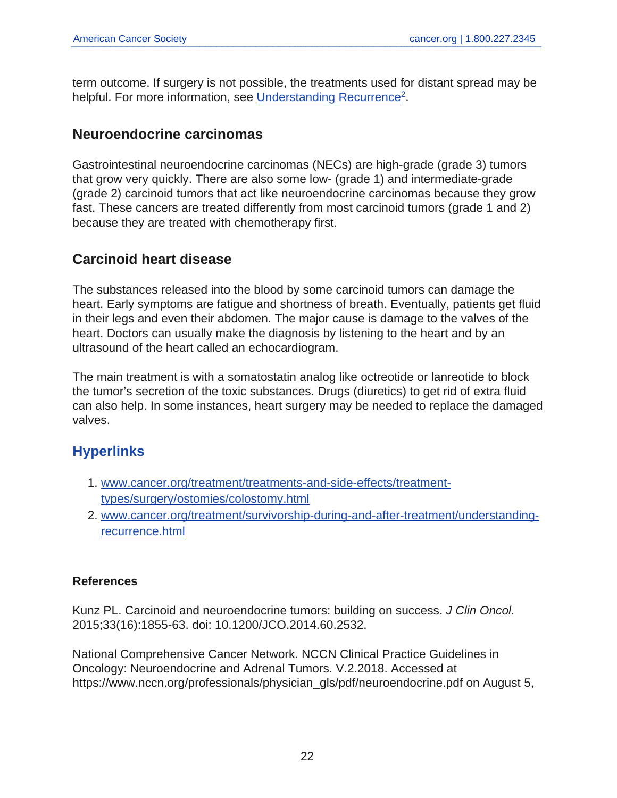term outcome. If surgery is not possible, the treatments used for distant spread may be helpful. For more information, see [Understanding Recurrence](https://www.cancer.org/content/cancer/en/treatment/survivorship-during-and-after-treatment/understanding-recurrence.html)<sup>2</sup>.

## **Neuroendocrine carcinomas**

Gastrointestinal neuroendocrine carcinomas (NECs) are high-grade (grade 3) tumors that grow very quickly. There are also some low- (grade 1) and intermediate-grade (grade 2) carcinoid tumors that act like neuroendocrine carcinomas because they grow fast. These cancers are treated differently from most carcinoid tumors (grade 1 and 2) because they are treated with chemotherapy first.

## **Carcinoid heart disease**

The substances released into the blood by some carcinoid tumors can damage the heart. Early symptoms are fatigue and shortness of breath. Eventually, patients get fluid in their legs and even their abdomen. The major cause is damage to the valves of the heart. Doctors can usually make the diagnosis by listening to the heart and by an ultrasound of the heart called an echocardiogram.

The main treatment is with a somatostatin analog like octreotide or lanreotide to block the tumor's secretion of the toxic substances. Drugs (diuretics) to get rid of extra fluid can also help. In some instances, heart surgery may be needed to replace the damaged valves.

## **Hyperlinks**

- 1. [www.cancer.org/treatment/treatments-and-side-effects/treatment](www.cancer.org/treatment/treatments-and-side-effects/treatment-types/surgery/ostomies/colostomy.html)[types/surgery/ostomies/colostomy.html](www.cancer.org/treatment/treatments-and-side-effects/treatment-types/surgery/ostomies/colostomy.html)
- 2. [www.cancer.org/treatment/survivorship-during-and-after-treatment/understanding](www.cancer.org/treatment/survivorship-during-and-after-treatment/understanding-recurrence.html)[recurrence.html](www.cancer.org/treatment/survivorship-during-and-after-treatment/understanding-recurrence.html)

## **References**

Kunz PL. Carcinoid and neuroendocrine tumors: building on success. J Clin Oncol. 2015;33(16):1855-63. doi: 10.1200/JCO.2014.60.2532.

National Comprehensive Cancer Network. NCCN Clinical Practice Guidelines in Oncology: Neuroendocrine and Adrenal Tumors. V.2.2018. Accessed at https://www.nccn.org/professionals/physician\_gls/pdf/neuroendocrine.pdf on August 5,